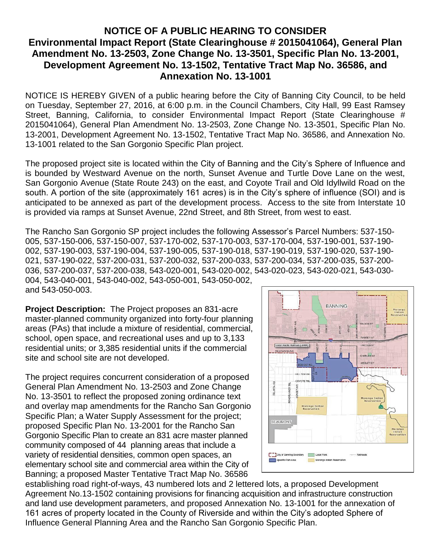## **NOTICE OF A PUBLIC HEARING TO CONSIDER Environmental Impact Report (State Clearinghouse # 2015041064), General Plan Amendment No. 13-2503, Zone Change No. 13-3501, Specific Plan No. 13-2001, Development Agreement No. 13-1502, Tentative Tract Map No. 36586, and Annexation No. 13-1001**

NOTICE IS HEREBY GIVEN of a public hearing before the City of Banning City Council, to be held on Tuesday, September 27, 2016, at 6:00 p.m. in the Council Chambers, City Hall, 99 East Ramsey Street, Banning, California, to consider Environmental Impact Report (State Clearinghouse # 2015041064), General Plan Amendment No. 13-2503, Zone Change No. 13-3501, Specific Plan No. 13-2001, Development Agreement No. 13-1502, Tentative Tract Map No. 36586, and Annexation No. 13-1001 related to the San Gorgonio Specific Plan project.

The proposed project site is located within the City of Banning and the City's Sphere of Influence and is bounded by Westward Avenue on the north, Sunset Avenue and Turtle Dove Lane on the west, San Gorgonio Avenue (State Route 243) on the east, and Coyote Trail and Old Idyllwild Road on the south. A portion of the site (approximately 161 acres) is in the City's sphere of influence (SOI) and is anticipated to be annexed as part of the development process. Access to the site from Interstate 10 is provided via ramps at Sunset Avenue, 22nd Street, and 8th Street, from west to east.

The Rancho San Gorgonio SP project includes the following Assessor's Parcel Numbers: 537-150- 005, 537-150-006, 537-150-007, 537-170-002, 537-170-003, 537-170-004, 537-190-001, 537-190- 002, 537-190-003, 537-190-004, 537-190-005, 537-190-018, 537-190-019, 537-190-020, 537-190- 021, 537-190-022, 537-200-031, 537-200-032, 537-200-033, 537-200-034, 537-200-035, 537-200- 036, 537-200-037, 537-200-038, 543-020-001, 543-020-002, 543-020-023, 543-020-021, 543-030- 004, 543-040-001, 543-040-002, 543-050-001, 543-050-002, and 543-050-003.

**Project Description:**The Project proposes an 831-acre master-planned community organized into forty-four planning areas (PAs) that include a mixture of residential, commercial, school, open space, and recreational uses and up to 3,133 residential units; or 3,385 residential units if the commercial site and school site are not developed.

The project requires concurrent consideration of a proposed General Plan Amendment No. 13-2503 and Zone Change No. 13-3501 to reflect the proposed zoning ordinance text and overlay map amendments for the Rancho San Gorgonio Specific Plan; a Water Supply Assessment for the project; proposed Specific Plan No. 13-2001 for the Rancho San Gorgonio Specific Plan to create an 831 acre master planned community composed of 44 planning areas that include a variety of residential densities, common open spaces, an elementary school site and commercial area within the City of Banning; a proposed Master Tentative Tract Map No. 36586



establishing road right-of-ways, 43 numbered lots and 2 lettered lots, a proposed Development Agreement No.13-1502 containing provisions for financing acquisition and infrastructure construction and land use development parameters, and proposed Annexation No. 13-1001 for the annexation of 161 acres of property located in the County of Riverside and within the City's adopted Sphere of Influence General Planning Area and the Rancho San Gorgonio Specific Plan.